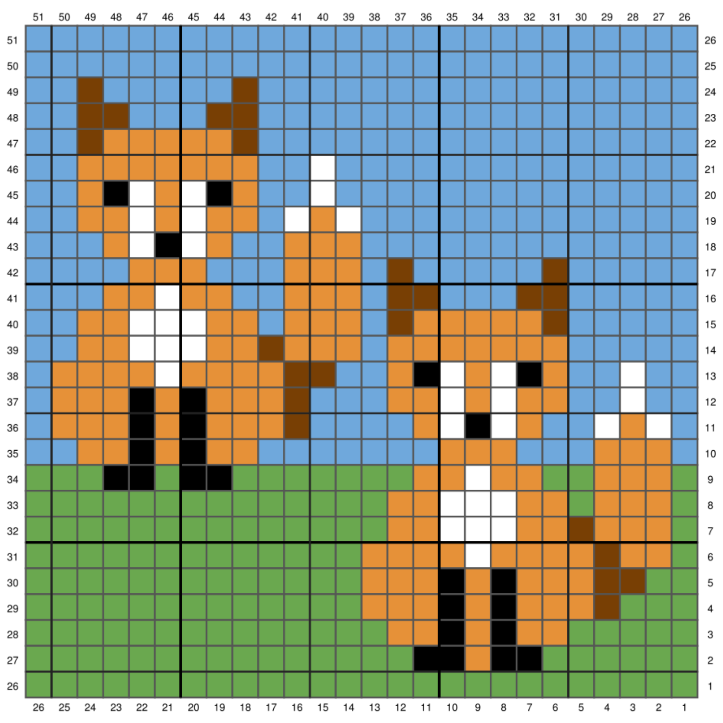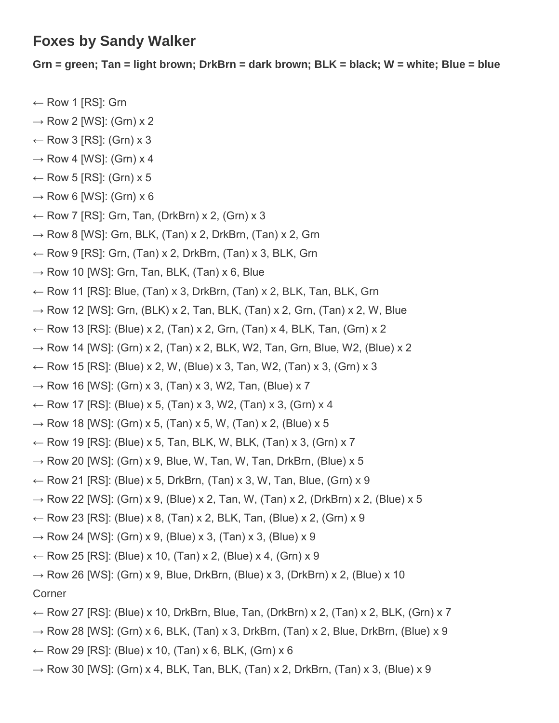## **Foxes by Sandy Walker**

**Grn = green; Tan = light brown; DrkBrn = dark brown; BLK = black; W = white; Blue = blue**

- $\leftarrow$  Row 1 [RS]: Grn
- $\rightarrow$  Row 2 [WS]: (Grn) x 2
- $\leftarrow$  Row 3 [RS]: (Grn) x 3
- $\rightarrow$  Row 4 [WS]: (Grn) x 4
- $\leftarrow$  Row 5 [RS]: (Grn) x 5
- $\rightarrow$  Row 6 [WS]: (Grn) x 6
- $\leftarrow$  Row 7 [RS]: Grn, Tan, (DrkBrn) x 2, (Grn) x 3
- $\rightarrow$  Row 8 [WS]: Grn, BLK, (Tan) x 2, DrkBrn, (Tan) x 2, Grn
- $\leftarrow$  Row 9 [RS]: Grn, (Tan) x 2, DrkBrn, (Tan) x 3, BLK, Grn
- $\rightarrow$  Row 10 [WS]: Grn, Tan, BLK, (Tan) x 6, Blue
- $\leftarrow$  Row 11 [RS]: Blue, (Tan) x 3, DrkBrn, (Tan) x 2, BLK, Tan, BLK, Grn
- $\rightarrow$  Row 12 [WS]: Grn, (BLK) x 2, Tan, BLK, (Tan) x 2, Grn, (Tan) x 2, W, Blue
- $\leftarrow$  Row 13 [RS]: (Blue) x 2, (Tan) x 2, Grn, (Tan) x 4, BLK, Tan, (Grn) x 2
- $\rightarrow$  Row 14 [WS]: (Grn) x 2, (Tan) x 2, BLK, W2, Tan, Grn, Blue, W2, (Blue) x 2
- $\leftarrow$  Row 15 [RS]: (Blue) x 2, W, (Blue) x 3, Tan, W2, (Tan) x 3, (Grn) x 3
- $\rightarrow$  Row 16 [WS]: (Grn) x 3, (Tan) x 3, W2, Tan, (Blue) x 7
- $\leftarrow$  Row 17 [RS]: (Blue) x 5, (Tan) x 3, W2, (Tan) x 3, (Grn) x 4
- $\rightarrow$  Row 18 [WS]: (Grn) x 5, (Tan) x 5, W, (Tan) x 2, (Blue) x 5
- $\leftarrow$  Row 19 [RS]: (Blue) x 5, Tan, BLK, W, BLK, (Tan) x 3, (Grn) x 7
- $\rightarrow$  Row 20 [WS]: (Grn) x 9, Blue, W, Tan, W, Tan, DrkBrn, (Blue) x 5
- $\leftarrow$  Row 21 [RS]: (Blue) x 5, DrkBrn, (Tan) x 3, W, Tan, Blue, (Grn) x 9
- $\rightarrow$  Row 22 [WS]: (Grn) x 9, (Blue) x 2, Tan, W, (Tan) x 2, (DrkBrn) x 2, (Blue) x 5
- $\leftarrow$  Row 23 [RS]: (Blue) x 8, (Tan) x 2, BLK, Tan, (Blue) x 2, (Grn) x 9
- $\rightarrow$  Row 24 [WS]: (Grn) x 9, (Blue) x 3, (Tan) x 3, (Blue) x 9
- $\leftarrow$  Row 25 [RS]: (Blue) x 10, (Tan) x 2, (Blue) x 4, (Grn) x 9
- $\rightarrow$  Row 26 [WS]: (Grn) x 9, Blue, DrkBrn, (Blue) x 3, (DrkBrn) x 2, (Blue) x 10

## Corner

- $\leftarrow$  Row 27 [RS]: (Blue) x 10, DrkBrn, Blue, Tan, (DrkBrn) x 2, (Tan) x 2, BLK, (Grn) x 7
- $\rightarrow$  Row 28 [WS]: (Grn) x 6, BLK, (Tan) x 3, DrkBrn, (Tan) x 2, Blue, DrkBrn, (Blue) x 9
- $\leftarrow$  Row 29 [RS]: (Blue) x 10, (Tan) x 6, BLK, (Grn) x 6
- $\rightarrow$  Row 30 [WS]: (Grn) x 4, BLK, Tan, BLK, (Tan) x 2, DrkBrn, (Tan) x 3, (Blue) x 9